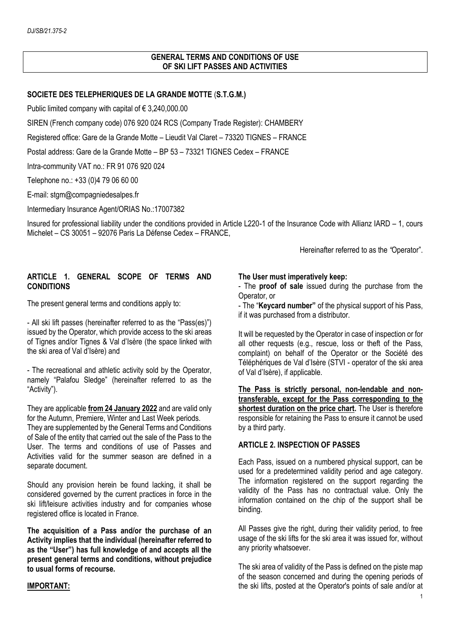#### **GENERAL TERMS AND CONDITIONS OF USE OF SKI LIFT PASSES AND ACTIVITIES**

## **SOCIETE DES TELEPHERIQUES DE LA GRANDE MOTTE** (**S.T.G.M.)**

Public limited company with capital of  $\epsilon$  3,240,000.00

SIREN (French company code) 076 920 024 RCS (Company Trade Register): CHAMBERY

Registered office: Gare de la Grande Motte – Lieudit Val Claret – 73320 TIGNES – FRANCE

Postal address: Gare de la Grande Motte – BP 53 – 73321 TIGNES Cedex – FRANCE

Intra-community VAT no.: FR 91 076 920 024

Telephone no.: +33 (0)4 79 06 60 00

E-mail: stgm@compagniedesalpes.fr

Intermediary Insurance Agent/ORIAS No.:17007382

Insured for professional liability under the conditions provided in Article L220-1 of the Insurance Code with Allianz IARD – 1, cours Michelet – CS 30051 – 92076 Paris La Défense Cedex – FRANCE,

Hereinafter referred to as the *"*Operator".

## **ARTICLE 1. GENERAL SCOPE OF TERMS AND CONDITIONS**

The present general terms and conditions apply to:

- All ski lift passes (hereinafter referred to as the "Pass(es)") issued by the Operator, which provide access to the ski areas of Tignes and/or Tignes & Val d'Isère (the space linked with the ski area of Val d'Isère) and

- The recreational and athletic activity sold by the Operator, namely "Palafou Sledge" (hereinafter referred to as the "Activity").

They are applicable **from 24 January 2022** and are valid only for the Autumn, Premiere, Winter and Last Week periods.

They are supplemented by the General Terms and Conditions of Sale of the entity that carried out the sale of the Pass to the User. The terms and conditions of use of Passes and Activities valid for the summer season are defined in a separate document.

Should any provision herein be found lacking, it shall be considered governed by the current practices in force in the ski lift/leisure activities industry and for companies whose registered office is located in France.

**The acquisition of a Pass and/or the purchase of an Activity implies that the individual (hereinafter referred to as the "User") has full knowledge of and accepts all the present general terms and conditions, without prejudice to usual forms of recourse.**

#### **IMPORTANT:**

## **The User must imperatively keep:**

- The **proof of sale** issued during the purchase from the Operator, or

- The "**Keycard number"** of the physical support of his Pass, if it was purchased from a distributor.

It will be requested by the Operator in case of inspection or for all other requests (e.g., rescue, loss or theft of the Pass, complaint) on behalf of the Operator or the Société des Téléphériques de Val d'Isère (STVI - operator of the ski area of Val d'Isère), if applicable.

**The Pass is strictly personal, non-lendable and nontransferable, except for the Pass corresponding to the shortest duration on the price chart.** The User is therefore responsible for retaining the Pass to ensure it cannot be used by a third party.

## **ARTICLE 2. INSPECTION OF PASSES**

Each Pass, issued on a numbered physical support, can be used for a predetermined validity period and age category. The information registered on the support regarding the validity of the Pass has no contractual value. Only the information contained on the chip of the support shall be binding.

All Passes give the right, during their validity period, to free usage of the ski lifts for the ski area it was issued for, without any priority whatsoever.

The ski area of validity of the Pass is defined on the piste map of the season concerned and during the opening periods of the ski lifts, posted at the Operator's points of sale and/or at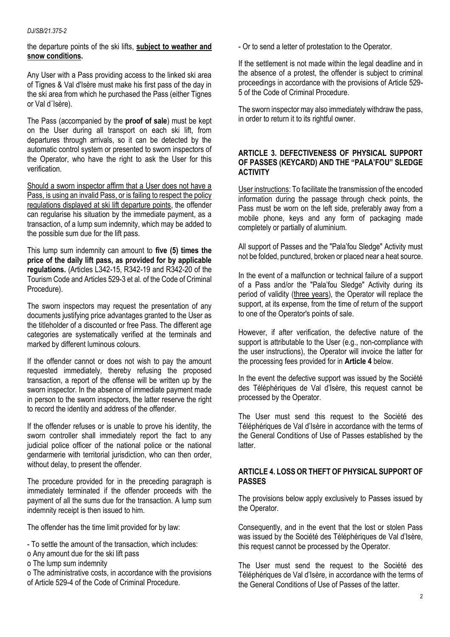#### *DJ/SB/21.375-2*

the departure points of the ski lifts, **subject to weather and snow conditions.**

Any User with a Pass providing access to the linked ski area of Tignes & Val d'Isère must make his first pass of the day in the ski area from which he purchased the Pass (either Tignes or Val d´Isère).

The Pass (accompanied by the **proof of sale**) must be kept on the User during all transport on each ski lift, from departures through arrivals, so it can be detected by the automatic control system or presented to sworn inspectors of the Operator, who have the right to ask the User for this verification.

Should a sworn inspector affirm that a User does not have a Pass, is using an invalid Pass, or is failing to respect the policy regulations displayed at ski lift departure points, the offender can regularise his situation by the immediate payment, as a transaction, of a lump sum indemnity, which may be added to the possible sum due for the lift pass.

This lump sum indemnity can amount to **five (5) times the price of the daily lift pass, as provided for by applicable regulations.** (Articles L342-15, R342-19 and R342-20 of the Tourism Code and Articles 529-3 et al. of the Code of Criminal Procedure).

The sworn inspectors may request the presentation of any documents justifying price advantages granted to the User as the titleholder of a discounted or free Pass. The different age categories are systematically verified at the terminals and marked by different luminous colours.

If the offender cannot or does not wish to pay the amount requested immediately, thereby refusing the proposed transaction, a report of the offense will be written up by the sworn inspector. In the absence of immediate payment made in person to the sworn inspectors, the latter reserve the right to record the identity and address of the offender.

If the offender refuses or is unable to prove his identity, the sworn controller shall immediately report the fact to any judicial police officer of the national police or the national gendarmerie with territorial jurisdiction, who can then order, without delay, to present the offender.

The procedure provided for in the preceding paragraph is immediately terminated if the offender proceeds with the payment of all the sums due for the transaction. A lump sum indemnity receipt is then issued to him.

The offender has the time limit provided for by law:

- To settle the amount of the transaction, which includes:
- o Any amount due for the ski lift pass
- o The lump sum indemnity

o The administrative costs, in accordance with the provisions of Article 529-4 of the Code of Criminal Procedure.

- Or to send a letter of protestation to the Operator.

If the settlement is not made within the legal deadline and in the absence of a protest, the offender is subject to criminal proceedings in accordance with the provisions of Article 529- 5 of the Code of Criminal Procedure.

The sworn inspector may also immediately withdraw the pass, in order to return it to its rightful owner.

## **ARTICLE 3. DEFECTIVENESS OF PHYSICAL SUPPORT OF PASSES (KEYCARD) AND THE "PALA'FOU" SLEDGE ACTIVITY**

User instructions: To facilitate the transmission of the encoded information during the passage through check points, the Pass must be worn on the left side, preferably away from a mobile phone, keys and any form of packaging made completely or partially of aluminium.

All support of Passes and the "Pala'fou Sledge" Activity must not be folded, punctured, broken or placed near a heat source.

In the event of a malfunction or technical failure of a support of a Pass and/or the "Pala'fou Sledge" Activity during its period of validity (three years), the Operator will replace the support, at its expense, from the time of return of the support to one of the Operator's points of sale.

However, if after verification, the defective nature of the support is attributable to the User (e.g., non-compliance with the user instructions), the Operator will invoice the latter for the processing fees provided for in **Article 4** below.

In the event the defective support was issued by the Société des Téléphériques de Val d'Isère, this request cannot be processed by the Operator.

The User must send this request to the Société des Téléphériques de Val d'Isère in accordance with the terms of the General Conditions of Use of Passes established by the latter.

### **ARTICLE 4. LOSS OR THEFT OF PHYSICAL SUPPORT OF PASSES**

The provisions below apply exclusively to Passes issued by the Operator.

Consequently, and in the event that the lost or stolen Pass was issued by the Société des Téléphériques de Val d'Isère, this request cannot be processed by the Operator.

The User must send the request to the Société des Téléphériques de Val d'Isère, in accordance with the terms of the General Conditions of Use of Passes of the latter.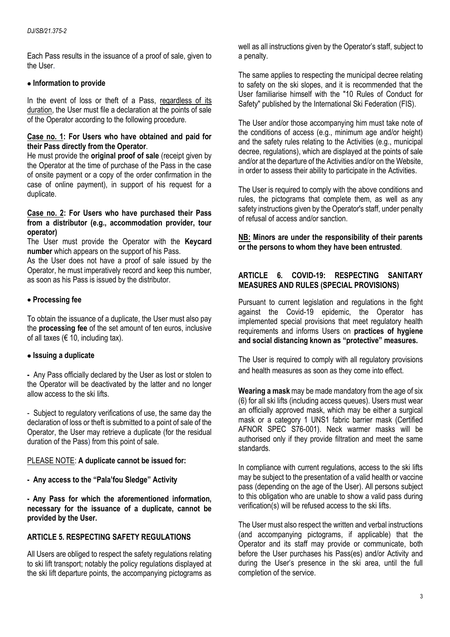Each Pass results in the issuance of a proof of sale, given to the User.

### • **Information to provide**

In the event of loss or theft of a Pass, regardless of its duration, the User must file a declaration at the points of sale of the Operator according to the following procedure.

### **Case no. 1: For Users who have obtained and paid for their Pass directly from the Operator**.

He must provide the **original proof of sale** (receipt given by the Operator at the time of purchase of the Pass in the case of onsite payment or a copy of the order confirmation in the case of online payment), in support of his request for a duplicate.

#### **Case no. 2: For Users who have purchased their Pass from a distributor (e.g., accommodation provider, tour operator)**

The User must provide the Operator with the **Keycard number** which appears on the support of his Pass.

As the User does not have a proof of sale issued by the Operator, he must imperatively record and keep this number, as soon as his Pass is issued by the distributor.

### • **Processing fee**

To obtain the issuance of a duplicate, the User must also pay the **processing fee** of the set amount of ten euros, inclusive of all taxes ( $\in$  10, including tax).

#### • **Issuing a duplicate**

**-** Any Pass officially declared by the User as lost or stolen to the Operator will be deactivated by the latter and no longer allow access to the ski lifts.

- Subject to regulatory verifications of use, the same day the declaration of loss or theft is submitted to a point of sale of the Operator, the User may retrieve a duplicate (for the residual duration of the Pass) from this point of sale.

## PLEASE NOTE: **A duplicate cannot be issued for:**

**- Any access to the "Pala'fou Sledge" Activity**

**- Any Pass for which the aforementioned information, necessary for the issuance of a duplicate, cannot be provided by the User.**

# **ARTICLE 5. RESPECTING SAFETY REGULATIONS**

All Users are obliged to respect the safety regulations relating to ski lift transport; notably the policy regulations displayed at the ski lift departure points, the accompanying pictograms as well as all instructions given by the Operator's staff, subject to a penalty.

The same applies to respecting the municipal decree relating to safety on the ski slopes, and it is recommended that the User familiarise himself with the "10 Rules of Conduct for Safety" published by the International Ski Federation (FIS).

The User and/or those accompanying him must take note of the conditions of access (e.g., minimum age and/or height) and the safety rules relating to the Activities (e.g., municipal decree, regulations), which are displayed at the points of sale and/or at the departure of the Activities and/or on the Website, in order to assess their ability to participate in the Activities.

The User is required to comply with the above conditions and rules, the pictograms that complete them, as well as any safety instructions given by the Operator's staff, under penalty of refusal of access and/or sanction.

## **NB: Minors are under the responsibility of their parents or the persons to whom they have been entrusted**.

## **ARTICLE 6. COVID-19: RESPECTING SANITARY MEASURES AND RULES (SPECIAL PROVISIONS)**

Pursuant to current legislation and regulations in the fight against the Covid-19 epidemic, the Operator has implemented special provisions that meet regulatory health requirements and informs Users on **practices of hygiene and social distancing known as "protective" measures.**

The User is required to comply with all regulatory provisions and health measures as soon as they come into effect.

**Wearing a mask** may be made mandatory from the age of six (6) for all ski lifts (including access queues). Users must wear an officially approved mask, which may be either a surgical mask or a category 1 UNS1 fabric barrier mask (Certified AFNOR SPEC S76-001). Neck warmer masks will be authorised only if they provide filtration and meet the same standards.

In compliance with current regulations, access to the ski lifts may be subject to the presentation of a valid health or vaccine pass (depending on the age of the User). All persons subject to this obligation who are unable to show a valid pass during verification(s) will be refused access to the ski lifts.

The User must also respect the written and verbal instructions (and accompanying pictograms, if applicable) that the Operator and its staff may provide or communicate, both before the User purchases his Pass(es) and/or Activity and during the User's presence in the ski area, until the full completion of the service.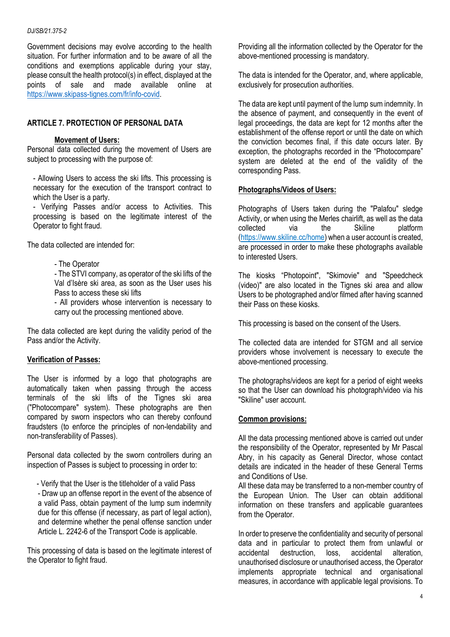Government decisions may evolve according to the health situation. For further information and to be aware of all the conditions and exemptions applicable during your stay, please consult the health protocol(s) in effect, displayed at the points of sale and made available online at [https://www.skipass-tignes.com/fr/info-covid.](https://www.skipass-tignes.com/fr/info-covid)

## **ARTICLE 7. PROTECTION OF PERSONAL DATA**

## **Movement of Users:**

Personal data collected during the movement of Users are subject to processing with the purpose of:

- Allowing Users to access the ski lifts. This processing is necessary for the execution of the transport contract to which the User is a party.

- Verifying Passes and/or access to Activities. This processing is based on the legitimate interest of the Operator to fight fraud.

The data collected are intended for:

- The Operator

- The STVI company, as operator of the ski lifts of the Val d'Isère ski area, as soon as the User uses his Pass to access these ski lifts

- All providers whose intervention is necessary to carry out the processing mentioned above.

The data collected are kept during the validity period of the Pass and/or the Activity.

## **Verification of Passes:**

The User is informed by a logo that photographs are automatically taken when passing through the access terminals of the ski lifts of the Tignes ski area ("Photocompare" system). These photographs are then compared by sworn inspectors who can thereby confound fraudsters (to enforce the principles of non-lendability and non-transferability of Passes).

Personal data collected by the sworn controllers during an inspection of Passes is subject to processing in order to:

 - Verify that the User is the titleholder of a valid Pass - Draw up an offense report in the event of the absence of a valid Pass, obtain payment of the lump sum indemnity due for this offense (if necessary, as part of legal action), and determine whether the penal offense sanction under Article L. 2242-6 of the Transport Code is applicable.

This processing of data is based on the legitimate interest of the Operator to fight fraud.

Providing all the information collected by the Operator for the above-mentioned processing is mandatory.

The data is intended for the Operator, and, where applicable, exclusively for prosecution authorities.

The data are kept until payment of the lump sum indemnity. In the absence of payment, and consequently in the event of legal proceedings, the data are kept for 12 months after the establishment of the offense report or until the date on which the conviction becomes final, if this date occurs later. By exception, the photographs recorded in the "Photocompare" system are deleted at the end of the validity of the corresponding Pass.

### **Photographs/Videos of Users:**

Photographs of Users taken during the "Palafou" sledge Activity, or when using the Merles chairlift, as well as the data<br>collected via the Skiline platform via the Skiline platform (https://www.skiline.cc/home) when a user account is created, are processed in order to make these photographs available to interested Users.

The kiosks "Photopoint", "Skimovie" and "Speedcheck (video)" are also located in the Tignes ski area and allow Users to be photographed and/or filmed after having scanned their Pass on these kiosks.

This processing is based on the consent of the Users.

The collected data are intended for STGM and all service providers whose involvement is necessary to execute the above-mentioned processing.

The photographs/videos are kept for a period of eight weeks so that the User can download his photograph/video via his "Skiline" user account.

### **Common provisions:**

All the data processing mentioned above is carried out under the responsibility of the Operator, represented by Mr Pascal Abry, in his capacity as General Director, whose contact details are indicated in the header of these General Terms and Conditions of Use.

All these data may be transferred to a non-member country of the European Union. The User can obtain additional information on these transfers and applicable guarantees from the Operator.

In order to preserve the confidentiality and security of personal data and in particular to protect them from unlawful or accidental destruction, loss, accidental alteration, unauthorised disclosure or unauthorised access, the Operator implements appropriate technical and organisational measures, in accordance with applicable legal provisions. To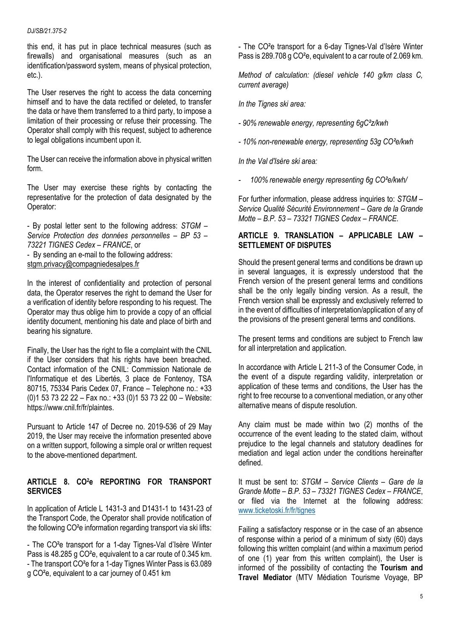#### *DJ/SB/21.375-2*

this end, it has put in place technical measures (such as firewalls) and organisational measures (such as an identification/password system, means of physical protection, etc.).

The User reserves the right to access the data concerning himself and to have the data rectified or deleted, to transfer the data or have them transferred to a third party, to impose a limitation of their processing or refuse their processing. The Operator shall comply with this request, subject to adherence to legal obligations incumbent upon it.

The User can receive the information above in physical written form.

The User may exercise these rights by contacting the representative for the protection of data designated by the Operator:

- By postal letter sent to the following address: *STGM – Service Protection des données personnelles – BP 53 – 73221 TIGNES Cedex – FRANCE*, or

- By sending an e-mail to the following address: [stgm.privacy@compagniedesalpes.fr](mailto:stgm.privacy@compagniedesalpes.fr)

In the interest of confidentiality and protection of personal data, the Operator reserves the right to demand the User for a verification of identity before responding to his request. The Operator may thus oblige him to provide a copy of an official identity document, mentioning his date and place of birth and bearing his signature.

Finally, the User has the right to file a complaint with the CNIL if the User considers that his rights have been breached. Contact information of the CNIL: Commission Nationale de l'Informatique et des Libertés, 3 place de Fontenoy, TSA 80715, 75334 Paris Cedex 07, France – Telephone no.: +33 (0)1 53 73 22 22 – Fax no.: +33 (0)1 53 73 22 00 – Website: https://www.cnil.fr/fr/plaintes.

Pursuant to Article 147 of Decree no. 2019-536 of 29 May 2019, the User may receive the information presented above on a written support, following a simple oral or written request to the above-mentioned department.

## **ARTICLE 8. CO2e REPORTING FOR TRANSPORT SERVICES**

In application of Article L 1431-3 and D1431-1 to 1431-23 of the Transport Code, the Operator shall provide notification of the following CO²e information regarding transport via ski lifts:

- The CO²e transport for a 1-day Tignes-Val d'Isère Winter Pass is 48.285 g CO<sup>2</sup>e, equivalent to a car route of 0.345 km. - The transport CO²e for a 1-day Tignes Winter Pass is 63.089 g CO²e, equivalent to a car journey of 0.451 km

- The CO²e transport for a 6-day Tignes-Val d'Isère Winter Pass is 289.708 g CO<sup>2</sup>e, equivalent to a car route of 2.069 km.

*Method of calculation: (diesel vehicle 140 g/km class C, current average)*

*In the Tignes ski area:*

*- 90% renewable energy, representing 6gC²z/kwh*

*- 10% non-renewable energy, representing 53g CO²e/kwh*

*In the Val d'Isère ski area:*

*- 100% renewable energy representing 6g CO²e/kwh/*

For further information, please address inquiries to: *STGM – Service Qualité Sécurité Environnement – Gare de la Grande Motte – B.P. 53 – 73321 TIGNES Cedex – FRANCE*.

## **ARTICLE 9. TRANSLATION – APPLICABLE LAW – SETTLEMENT OF DISPUTES**

Should the present general terms and conditions be drawn up in several languages, it is expressly understood that the French version of the present general terms and conditions shall be the only legally binding version. As a result, the French version shall be expressly and exclusively referred to in the event of difficulties of interpretation/application of any of the provisions of the present general terms and conditions.

The present terms and conditions are subject to French law for all interpretation and application.

In accordance with Article L 211-3 of the Consumer Code, in the event of a dispute regarding validity, interpretation or application of these terms and conditions, the User has the right to free recourse to a conventional mediation, or any other alternative means of dispute resolution.

Any claim must be made within two (2) months of the occurrence of the event leading to the stated claim, without prejudice to the legal channels and statutory deadlines for mediation and legal action under the conditions hereinafter defined.

It must be sent to: *STGM – Service Clients – Gare de la Grande Motte – B.P. 53 – 73321 TIGNES Cedex – FRANCE*, or filed via the Internet at the following address: [www.ticketoski.fr/fr/tignes](http://www.ticketoski.fr/fr/tignes)

Failing a satisfactory response or in the case of an absence of response within a period of a minimum of sixty (60) days following this written complaint (and within a maximum period of one (1) year from this written complaint), the User is informed of the possibility of contacting the **Tourism and Travel Mediator** (MTV Médiation Tourisme Voyage, BP